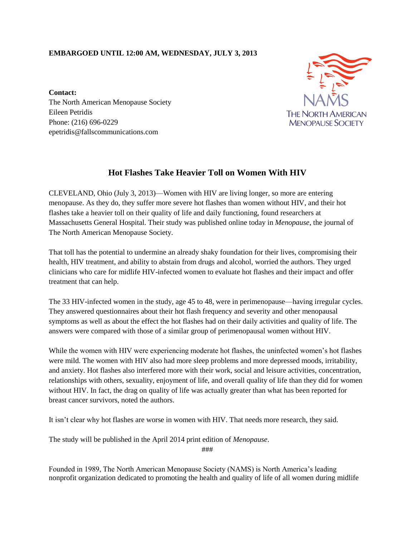## **EMBARGOED UNTIL 12:00 AM, WEDNESDAY, JULY 3, 2013**



**Contact:** The North American Menopause Society Eileen Petridis Phone: (216) 696-0229 epetridis@fallscommunications.com

## **Hot Flashes Take Heavier Toll on Women With HIV**

CLEVELAND, Ohio (July 3, 2013)—Women with HIV are living longer, so more are entering menopause. As they do, they suffer more severe hot flashes than women without HIV, and their hot flashes take a heavier toll on their quality of life and daily functioning, found researchers at Massachusetts General Hospital. Their study was published online today in *Menopause*, the journal of The North American Menopause Society.

That toll has the potential to undermine an already shaky foundation for their lives, compromising their health, HIV treatment, and ability to abstain from drugs and alcohol, worried the authors. They urged clinicians who care for midlife HIV-infected women to evaluate hot flashes and their impact and offer treatment that can help.

The 33 HIV-infected women in the study, age 45 to 48, were in perimenopause—having irregular cycles. They answered questionnaires about their hot flash frequency and severity and other menopausal symptoms as well as about the effect the hot flashes had on their daily activities and quality of life. The answers were compared with those of a similar group of perimenopausal women without HIV.

While the women with HIV were experiencing moderate hot flashes, the uninfected women's hot flashes were mild. The women with HIV also had more sleep problems and more depressed moods, irritability, and anxiety. Hot flashes also interfered more with their work, social and leisure activities, concentration, relationships with others, sexuality, enjoyment of life, and overall quality of life than they did for women without HIV. In fact, the drag on quality of life was actually greater than what has been reported for breast cancer survivors, noted the authors.

It isn't clear why hot flashes are worse in women with HIV. That needs more research, they said.

The study will be published in the April 2014 print edition of *Menopause*.

###

Founded in 1989, The North American Menopause Society (NAMS) is North America's leading nonprofit organization dedicated to promoting the health and quality of life of all women during midlife